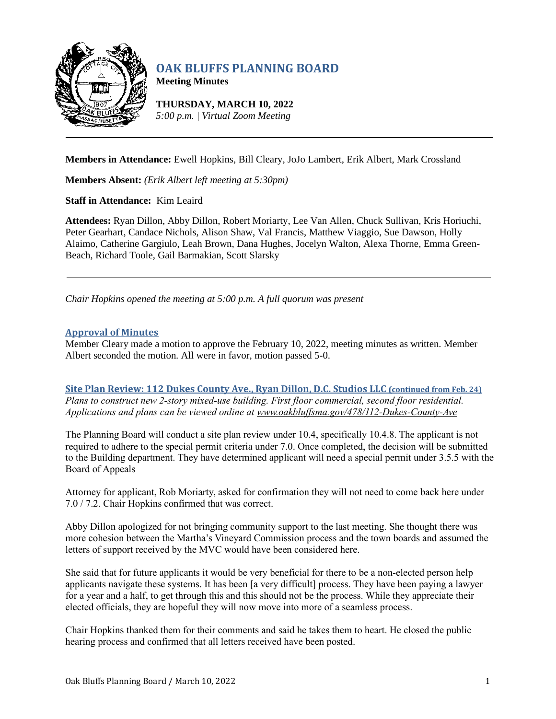

# **OAK BLUFFS PLANNING BOARD**

**Meeting Minutes**

**THURSDAY, MARCH 10, 2022** *5:00 p.m. | Virtual Zoom Meeting*

**Members in Attendance:** Ewell Hopkins, Bill Cleary, JoJo Lambert, Erik Albert, Mark Crossland

**Members Absent:** *(Erik Albert left meeting at 5:30pm)*

**Staff in Attendance:** Kim Leaird

**Attendees:** Ryan Dillon, Abby Dillon, Robert Moriarty, Lee Van Allen, Chuck Sullivan, Kris Horiuchi, Peter Gearhart, Candace Nichols, Alison Shaw, Val Francis, Matthew Viaggio, Sue Dawson, Holly Alaimo, Catherine Gargiulo, Leah Brown, Dana Hughes, Jocelyn Walton, Alexa Thorne, Emma Green-Beach, Richard Toole, Gail Barmakian, Scott Slarsky

*Chair Hopkins opened the meeting at 5:00 p.m. A full quorum was present*

# **Approval of Minutes**

Member Cleary made a motion to approve the February 10, 2022, meeting minutes as written. Member Albert seconded the motion. All were in favor, motion passed 5-0.

**Site Plan Review: 112 Dukes County Ave., Ryan Dillon, D.C. Studios LLC (continued from Feb. 24)** *Plans to construct new 2-story mixed-use building. First floor commercial, second floor residential. Applications and plans can be viewed online at [www.oakbluffsma.gov/478/112-Dukes-County-Ave](http://www.oakbluffsma.gov/478/112-Dukes-County-Ave)*

The Planning Board will conduct a site plan review under 10.4, specifically 10.4.8. The applicant is not required to adhere to the special permit criteria under 7.0. Once completed, the decision will be submitted to the Building department. They have determined applicant will need a special permit under 3.5.5 with the Board of Appeals

Attorney for applicant, Rob Moriarty, asked for confirmation they will not need to come back here under 7.0 / 7.2. Chair Hopkins confirmed that was correct.

Abby Dillon apologized for not bringing community support to the last meeting. She thought there was more cohesion between the Martha's Vineyard Commission process and the town boards and assumed the letters of support received by the MVC would have been considered here.

She said that for future applicants it would be very beneficial for there to be a non-elected person help applicants navigate these systems. It has been [a very difficult] process. They have been paying a lawyer for a year and a half, to get through this and this should not be the process. While they appreciate their elected officials, they are hopeful they will now move into more of a seamless process.

Chair Hopkins thanked them for their comments and said he takes them to heart. He closed the public hearing process and confirmed that all letters received have been posted.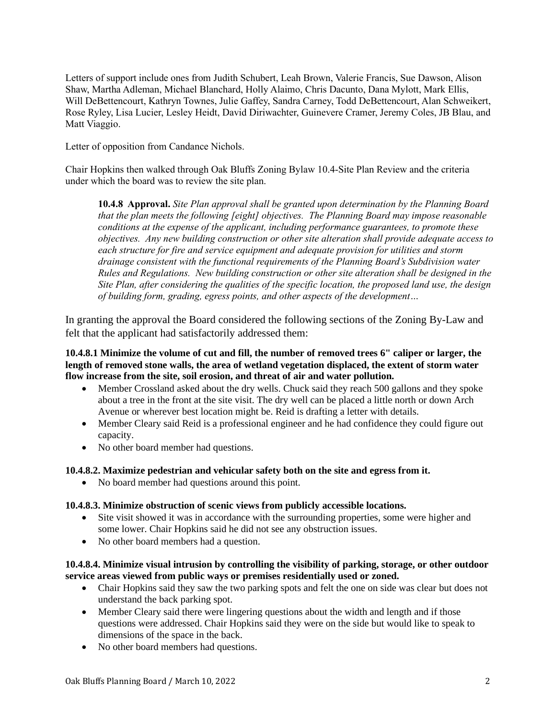Letters of support include ones from Judith Schubert, Leah Brown, Valerie Francis, Sue Dawson, Alison Shaw, Martha Adleman, Michael Blanchard, Holly Alaimo, Chris Dacunto, Dana Mylott, Mark Ellis, Will DeBettencourt, Kathryn Townes, Julie Gaffey, Sandra Carney, Todd DeBettencourt, Alan Schweikert, Rose Ryley, Lisa Lucier, Lesley Heidt, David Diriwachter, Guinevere Cramer, Jeremy Coles, JB Blau, and Matt Viaggio.

Letter of opposition from Candance Nichols.

Chair Hopkins then walked through Oak Bluffs Zoning Bylaw 10.4-Site Plan Review and the criteria under which the board was to review the site plan.

**10.4.8 Approval.** *Site Plan approval shall be granted upon determination by the Planning Board that the plan meets the following [eight] objectives. The Planning Board may impose reasonable conditions at the expense of the applicant, including performance guarantees, to promote these objectives. Any new building construction or other site alteration shall provide adequate access to each structure for fire and service equipment and adequate provision for utilities and storm drainage consistent with the functional requirements of the Planning Board's Subdivision water Rules and Regulations. New building construction or other site alteration shall be designed in the Site Plan, after considering the qualities of the specific location, the proposed land use, the design of building form, grading, egress points, and other aspects of the development…*

In granting the approval the Board considered the following sections of the Zoning By-Law and felt that the applicant had satisfactorily addressed them:

**10.4.8.1 Minimize the volume of cut and fill, the number of removed trees 6" caliper or larger, the length of removed stone walls, the area of wetland vegetation displaced, the extent of storm water flow increase from the site, soil erosion, and threat of air and water pollution.**

- Member Crossland asked about the dry wells. Chuck said they reach 500 gallons and they spoke about a tree in the front at the site visit. The dry well can be placed a little north or down Arch Avenue or wherever best location might be. Reid is drafting a letter with details.
- Member Cleary said Reid is a professional engineer and he had confidence they could figure out capacity.
- No other board member had questions.

## **10.4.8.2. Maximize pedestrian and vehicular safety both on the site and egress from it.**

• No board member had questions around this point.

## **10.4.8.3. Minimize obstruction of scenic views from publicly accessible locations.**

- Site visit showed it was in accordance with the surrounding properties, some were higher and some lower. Chair Hopkins said he did not see any obstruction issues.
- No other board members had a question.

# **10.4.8.4. Minimize visual intrusion by controlling the visibility of parking, storage, or other outdoor service areas viewed from public ways or premises residentially used or zoned.**

- Chair Hopkins said they saw the two parking spots and felt the one on side was clear but does not understand the back parking spot.
- Member Cleary said there were lingering questions about the width and length and if those questions were addressed. Chair Hopkins said they were on the side but would like to speak to dimensions of the space in the back.
- No other board members had questions.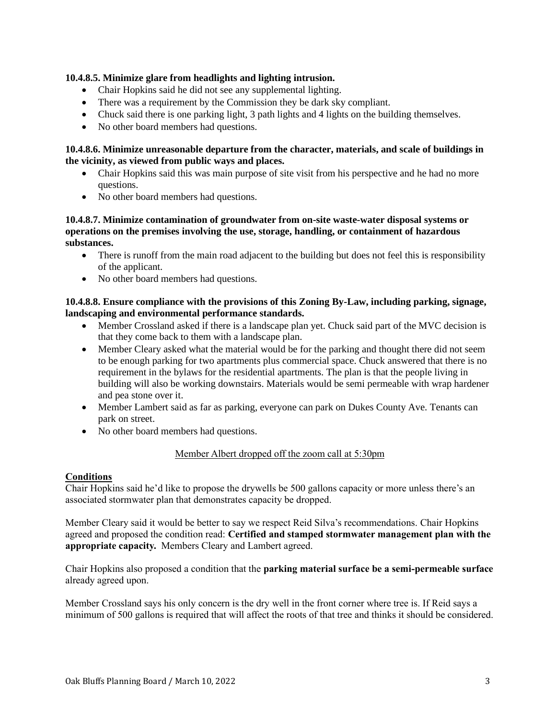# **10.4.8.5. Minimize glare from headlights and lighting intrusion.**

- Chair Hopkins said he did not see any supplemental lighting.
- There was a requirement by the Commission they be dark sky compliant.
- Chuck said there is one parking light, 3 path lights and 4 lights on the building themselves.
- No other board members had questions.

## **10.4.8.6. Minimize unreasonable departure from the character, materials, and scale of buildings in the vicinity, as viewed from public ways and places.**

- Chair Hopkins said this was main purpose of site visit from his perspective and he had no more questions.
- No other board members had questions.

## **10.4.8.7. Minimize contamination of groundwater from on-site waste-water disposal systems or operations on the premises involving the use, storage, handling, or containment of hazardous substances.**

- There is runoff from the main road adjacent to the building but does not feel this is responsibility of the applicant.
- No other board members had questions.

## **10.4.8.8. Ensure compliance with the provisions of this Zoning By-Law, including parking, signage, landscaping and environmental performance standards.**

- Member Crossland asked if there is a landscape plan yet. Chuck said part of the MVC decision is that they come back to them with a landscape plan.
- Member Cleary asked what the material would be for the parking and thought there did not seem to be enough parking for two apartments plus commercial space. Chuck answered that there is no requirement in the bylaws for the residential apartments. The plan is that the people living in building will also be working downstairs. Materials would be semi permeable with wrap hardener and pea stone over it.
- Member Lambert said as far as parking, everyone can park on Dukes County Ave. Tenants can park on street.
- No other board members had questions.

## Member Albert dropped off the zoom call at 5:30pm

## **Conditions**

Chair Hopkins said he'd like to propose the drywells be 500 gallons capacity or more unless there's an associated stormwater plan that demonstrates capacity be dropped.

Member Cleary said it would be better to say we respect Reid Silva's recommendations. Chair Hopkins agreed and proposed the condition read: **Certified and stamped stormwater management plan with the appropriate capacity.** Members Cleary and Lambert agreed.

Chair Hopkins also proposed a condition that the **parking material surface be a semi-permeable surface** already agreed upon.

Member Crossland says his only concern is the dry well in the front corner where tree is. If Reid says a minimum of 500 gallons is required that will affect the roots of that tree and thinks it should be considered.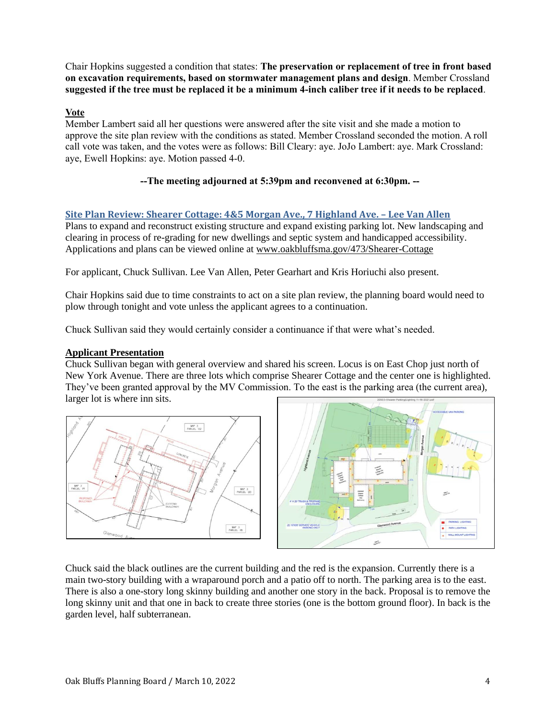Chair Hopkins suggested a condition that states: **The preservation or replacement of tree in front based on excavation requirements, based on stormwater management plans and design**. Member Crossland **suggested if the tree must be replaced it be a minimum 4-inch caliber tree if it needs to be replaced**.

# **Vote**

Member Lambert said all her questions were answered after the site visit and she made a motion to approve the site plan review with the conditions as stated. Member Crossland seconded the motion. A roll call vote was taken, and the votes were as follows: Bill Cleary: aye. JoJo Lambert: aye. Mark Crossland: aye, Ewell Hopkins: aye. Motion passed 4-0.

# **--The meeting adjourned at 5:39pm and reconvened at 6:30pm. --**

# **Site Plan Review: Shearer Cottage: 4&5 Morgan Ave., 7 Highland Ave. – Lee Van Allen**

Plans to expand and reconstruct existing structure and expand existing parking lot. New landscaping and clearing in process of re-grading for new dwellings and septic system and handicapped accessibility. Applications and plans can be viewed online at [www.oakbluffsma.gov/473/Shearer-Cottage](http://www.oakbluffsma.gov/473/Shearer-Cottage)

For applicant, Chuck Sullivan. Lee Van Allen, Peter Gearhart and Kris Horiuchi also present.

Chair Hopkins said due to time constraints to act on a site plan review, the planning board would need to plow through tonight and vote unless the applicant agrees to a continuation.

Chuck Sullivan said they would certainly consider a continuance if that were what's needed.

## **Applicant Presentation**

Chuck Sullivan began with general overview and shared his screen. Locus is on East Chop just north of New York Avenue. There are three lots which comprise Shearer Cottage and the center one is highlighted. They've been granted approval by the MV Commission. To the east is the parking area (the current area), larger lot is where inn sits.





Chuck said the black outlines are the current building and the red is the expansion. Currently there is a main two-story building with a wraparound porch and a patio off to north. The parking area is to the east. There is also a one-story long skinny building and another one story in the back. Proposal is to remove the long skinny unit and that one in back to create three stories (one is the bottom ground floor). In back is the garden level, half subterranean.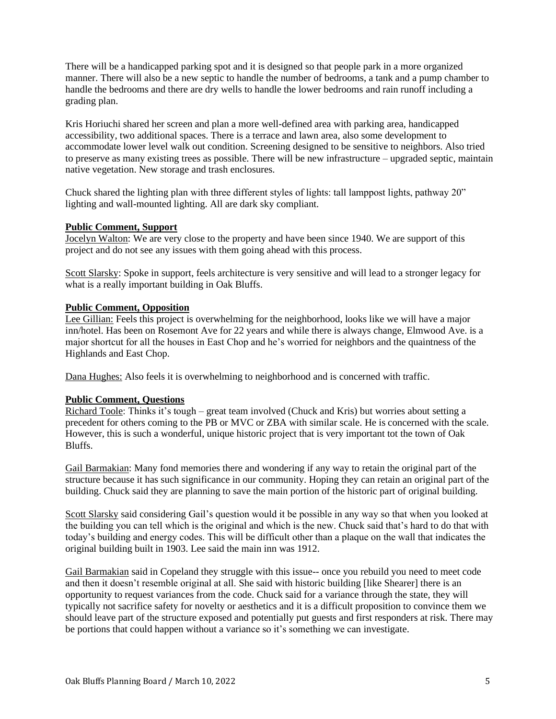There will be a handicapped parking spot and it is designed so that people park in a more organized manner. There will also be a new septic to handle the number of bedrooms, a tank and a pump chamber to handle the bedrooms and there are dry wells to handle the lower bedrooms and rain runoff including a grading plan.

Kris Horiuchi shared her screen and plan a more well-defined area with parking area, handicapped accessibility, two additional spaces. There is a terrace and lawn area, also some development to accommodate lower level walk out condition. Screening designed to be sensitive to neighbors. Also tried to preserve as many existing trees as possible. There will be new infrastructure – upgraded septic, maintain native vegetation. New storage and trash enclosures.

Chuck shared the lighting plan with three different styles of lights: tall lamppost lights, pathway 20" lighting and wall-mounted lighting. All are dark sky compliant.

#### **Public Comment, Support**

Jocelyn Walton: We are very close to the property and have been since 1940. We are support of this project and do not see any issues with them going ahead with this process.

Scott Slarsky: Spoke in support, feels architecture is very sensitive and will lead to a stronger legacy for what is a really important building in Oak Bluffs.

#### **Public Comment, Opposition**

Lee Gillian: Feels this project is overwhelming for the neighborhood, looks like we will have a major inn/hotel. Has been on Rosemont Ave for 22 years and while there is always change, Elmwood Ave. is a major shortcut for all the houses in East Chop and he's worried for neighbors and the quaintness of the Highlands and East Chop.

Dana Hughes: Also feels it is overwhelming to neighborhood and is concerned with traffic.

## **Public Comment, Questions**

Richard Toole: Thinks it's tough – great team involved (Chuck and Kris) but worries about setting a precedent for others coming to the PB or MVC or ZBA with similar scale. He is concerned with the scale. However, this is such a wonderful, unique historic project that is very important tot the town of Oak Bluffs.

Gail Barmakian: Many fond memories there and wondering if any way to retain the original part of the structure because it has such significance in our community. Hoping they can retain an original part of the building. Chuck said they are planning to save the main portion of the historic part of original building.

Scott Slarsky said considering Gail's question would it be possible in any way so that when you looked at the building you can tell which is the original and which is the new. Chuck said that's hard to do that with today's building and energy codes. This will be difficult other than a plaque on the wall that indicates the original building built in 1903. Lee said the main inn was 1912.

Gail Barmakian said in Copeland they struggle with this issue-- once you rebuild you need to meet code and then it doesn't resemble original at all. She said with historic building [like Shearer] there is an opportunity to request variances from the code. Chuck said for a variance through the state, they will typically not sacrifice safety for novelty or aesthetics and it is a difficult proposition to convince them we should leave part of the structure exposed and potentially put guests and first responders at risk. There may be portions that could happen without a variance so it's something we can investigate.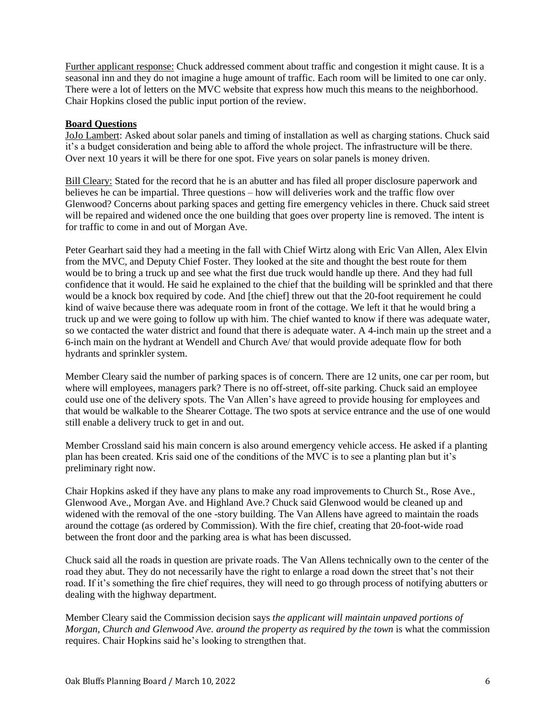Further applicant response: Chuck addressed comment about traffic and congestion it might cause. It is a seasonal inn and they do not imagine a huge amount of traffic. Each room will be limited to one car only. There were a lot of letters on the MVC website that express how much this means to the neighborhood. Chair Hopkins closed the public input portion of the review.

## **Board Questions**

JoJo Lambert: Asked about solar panels and timing of installation as well as charging stations. Chuck said it's a budget consideration and being able to afford the whole project. The infrastructure will be there. Over next 10 years it will be there for one spot. Five years on solar panels is money driven.

Bill Cleary: Stated for the record that he is an abutter and has filed all proper disclosure paperwork and believes he can be impartial. Three questions – how will deliveries work and the traffic flow over Glenwood? Concerns about parking spaces and getting fire emergency vehicles in there. Chuck said street will be repaired and widened once the one building that goes over property line is removed. The intent is for traffic to come in and out of Morgan Ave.

Peter Gearhart said they had a meeting in the fall with Chief Wirtz along with Eric Van Allen, Alex Elvin from the MVC, and Deputy Chief Foster. They looked at the site and thought the best route for them would be to bring a truck up and see what the first due truck would handle up there. And they had full confidence that it would. He said he explained to the chief that the building will be sprinkled and that there would be a knock box required by code. And [the chief] threw out that the 20-foot requirement he could kind of waive because there was adequate room in front of the cottage. We left it that he would bring a truck up and we were going to follow up with him. The chief wanted to know if there was adequate water, so we contacted the water district and found that there is adequate water. A 4-inch main up the street and a 6-inch main on the hydrant at Wendell and Church Ave/ that would provide adequate flow for both hydrants and sprinkler system.

Member Cleary said the number of parking spaces is of concern. There are 12 units, one car per room, but where will employees, managers park? There is no off-street, off-site parking. Chuck said an employee could use one of the delivery spots. The Van Allen's have agreed to provide housing for employees and that would be walkable to the Shearer Cottage. The two spots at service entrance and the use of one would still enable a delivery truck to get in and out.

Member Crossland said his main concern is also around emergency vehicle access. He asked if a planting plan has been created. Kris said one of the conditions of the MVC is to see a planting plan but it's preliminary right now.

Chair Hopkins asked if they have any plans to make any road improvements to Church St., Rose Ave., Glenwood Ave., Morgan Ave. and Highland Ave.? Chuck said Glenwood would be cleaned up and widened with the removal of the one -story building. The Van Allens have agreed to maintain the roads around the cottage (as ordered by Commission). With the fire chief, creating that 20-foot-wide road between the front door and the parking area is what has been discussed.

Chuck said all the roads in question are private roads. The Van Allens technically own to the center of the road they abut. They do not necessarily have the right to enlarge a road down the street that's not their road. If it's something the fire chief requires, they will need to go through process of notifying abutters or dealing with the highway department.

Member Cleary said the Commission decision says *the applicant will maintain unpaved portions of Morgan, Church and Glenwood Ave. around the property as required by the town* is what the commission requires. Chair Hopkins said he's looking to strengthen that.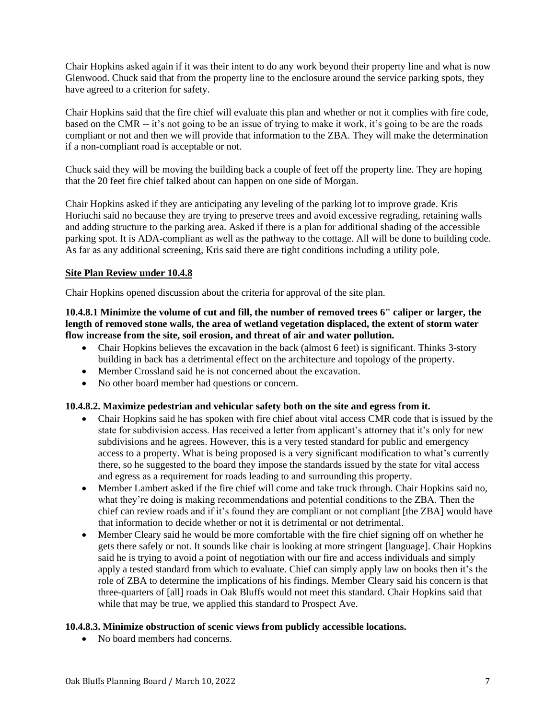Chair Hopkins asked again if it was their intent to do any work beyond their property line and what is now Glenwood. Chuck said that from the property line to the enclosure around the service parking spots, they have agreed to a criterion for safety.

Chair Hopkins said that the fire chief will evaluate this plan and whether or not it complies with fire code, based on the CMR -- it's not going to be an issue of trying to make it work, it's going to be are the roads compliant or not and then we will provide that information to the ZBA. They will make the determination if a non-compliant road is acceptable or not.

Chuck said they will be moving the building back a couple of feet off the property line. They are hoping that the 20 feet fire chief talked about can happen on one side of Morgan.

Chair Hopkins asked if they are anticipating any leveling of the parking lot to improve grade. Kris Horiuchi said no because they are trying to preserve trees and avoid excessive regrading, retaining walls and adding structure to the parking area. Asked if there is a plan for additional shading of the accessible parking spot. It is ADA-compliant as well as the pathway to the cottage. All will be done to building code. As far as any additional screening, Kris said there are tight conditions including a utility pole.

## **Site Plan Review under 10.4.8**

Chair Hopkins opened discussion about the criteria for approval of the site plan.

#### **10.4.8.1 Minimize the volume of cut and fill, the number of removed trees 6" caliper or larger, the length of removed stone walls, the area of wetland vegetation displaced, the extent of storm water flow increase from the site, soil erosion, and threat of air and water pollution.**

- Chair Hopkins believes the excavation in the back (almost 6 feet) is significant. Thinks 3-story building in back has a detrimental effect on the architecture and topology of the property.
- Member Crossland said he is not concerned about the excavation.
- No other board member had questions or concern.

## **10.4.8.2. Maximize pedestrian and vehicular safety both on the site and egress from it.**

- Chair Hopkins said he has spoken with fire chief about vital access CMR code that is issued by the state for subdivision access. Has received a letter from applicant's attorney that it's only for new subdivisions and he agrees. However, this is a very tested standard for public and emergency access to a property. What is being proposed is a very significant modification to what's currently there, so he suggested to the board they impose the standards issued by the state for vital access and egress as a requirement for roads leading to and surrounding this property.
- Member Lambert asked if the fire chief will come and take truck through. Chair Hopkins said no, what they're doing is making recommendations and potential conditions to the ZBA. Then the chief can review roads and if it's found they are compliant or not compliant [the ZBA] would have that information to decide whether or not it is detrimental or not detrimental.
- Member Cleary said he would be more comfortable with the fire chief signing off on whether he gets there safely or not. It sounds like chair is looking at more stringent [language]. Chair Hopkins said he is trying to avoid a point of negotiation with our fire and access individuals and simply apply a tested standard from which to evaluate. Chief can simply apply law on books then it's the role of ZBA to determine the implications of his findings. Member Cleary said his concern is that three-quarters of [all] roads in Oak Bluffs would not meet this standard. Chair Hopkins said that while that may be true, we applied this standard to Prospect Ave.

## **10.4.8.3. Minimize obstruction of scenic views from publicly accessible locations.**

• No board members had concerns.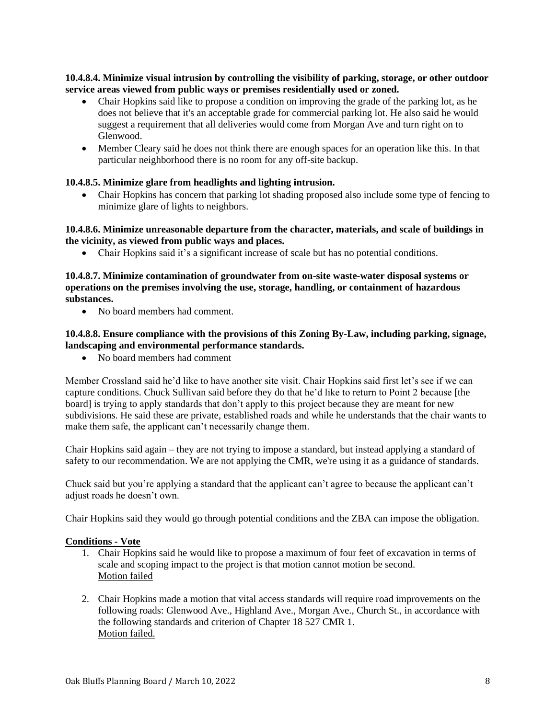# **10.4.8.4. Minimize visual intrusion by controlling the visibility of parking, storage, or other outdoor service areas viewed from public ways or premises residentially used or zoned.**

- Chair Hopkins said like to propose a condition on improving the grade of the parking lot, as he does not believe that it's an acceptable grade for commercial parking lot. He also said he would suggest a requirement that all deliveries would come from Morgan Ave and turn right on to Glenwood.
- Member Cleary said he does not think there are enough spaces for an operation like this. In that particular neighborhood there is no room for any off-site backup.

# **10.4.8.5. Minimize glare from headlights and lighting intrusion.**

• Chair Hopkins has concern that parking lot shading proposed also include some type of fencing to minimize glare of lights to neighbors.

## **10.4.8.6. Minimize unreasonable departure from the character, materials, and scale of buildings in the vicinity, as viewed from public ways and places.**

• Chair Hopkins said it's a significant increase of scale but has no potential conditions.

# **10.4.8.7. Minimize contamination of groundwater from on-site waste-water disposal systems or operations on the premises involving the use, storage, handling, or containment of hazardous substances.**

• No board members had comment.

# **10.4.8.8. Ensure compliance with the provisions of this Zoning By-Law, including parking, signage, landscaping and environmental performance standards.**

• No board members had comment

Member Crossland said he'd like to have another site visit. Chair Hopkins said first let's see if we can capture conditions. Chuck Sullivan said before they do that he'd like to return to Point 2 because [the board] is trying to apply standards that don't apply to this project because they are meant for new subdivisions. He said these are private, established roads and while he understands that the chair wants to make them safe, the applicant can't necessarily change them.

Chair Hopkins said again – they are not trying to impose a standard, but instead applying a standard of safety to our recommendation. We are not applying the CMR, we're using it as a guidance of standards.

Chuck said but you're applying a standard that the applicant can't agree to because the applicant can't adjust roads he doesn't own.

Chair Hopkins said they would go through potential conditions and the ZBA can impose the obligation.

## **Conditions - Vote**

- 1. Chair Hopkins said he would like to propose a maximum of four feet of excavation in terms of scale and scoping impact to the project is that motion cannot motion be second. Motion failed
- 2. Chair Hopkins made a motion that vital access standards will require road improvements on the following roads: Glenwood Ave., Highland Ave., Morgan Ave., Church St., in accordance with the following standards and criterion of Chapter 18 527 CMR 1. Motion failed.